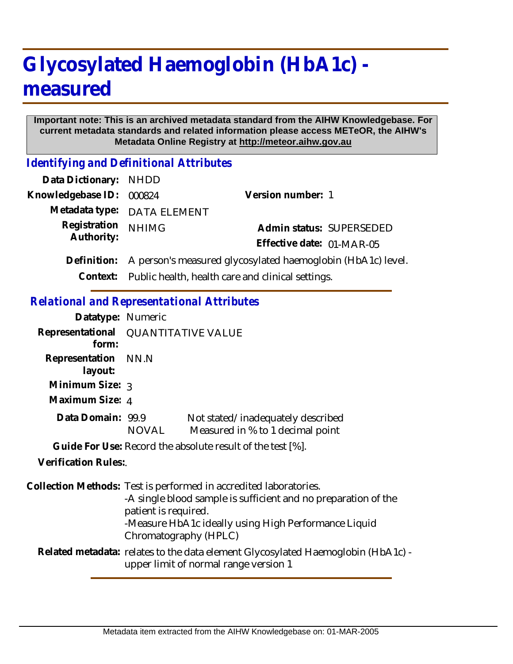# **Glycosylated Haemoglobin (HbA1c) measured**

#### **Important note: This is an archived metadata standard from the AIHW Knowledgebase. For current metadata standards and related information please access METeOR, the AIHW's Metadata Online Registry at http://meteor.aihw.gov.au**

*Identifying and Definitional Attributes*

| Data Dictionary: NHDD |                                                            |                                                             |
|-----------------------|------------------------------------------------------------|-------------------------------------------------------------|
| Knowledgebase ID:     | 000824                                                     | Version number: 1                                           |
|                       | Metadata type: DATA ELEMENT                                |                                                             |
| Registration          | <b>NHIMG</b>                                               | Admin status: SUPERSEDED                                    |
| Authority:            |                                                            | Effective date: 01-MAR-05                                   |
| Definition:           |                                                            | A person's measured glycosylated haemoglobin (HbA1c) level. |
|                       | Context: Public health, health care and clinical settings. |                                                             |
|                       |                                                            |                                                             |

### *Relational and Representational Attributes*

| Datatype: Numeric              |                                                                                                                                                                                                                                              |                                                                       |
|--------------------------------|----------------------------------------------------------------------------------------------------------------------------------------------------------------------------------------------------------------------------------------------|-----------------------------------------------------------------------|
| form:                          | Representational QUANTITATIVE VALUE                                                                                                                                                                                                          |                                                                       |
| Representation NN.N<br>layout: |                                                                                                                                                                                                                                              |                                                                       |
| Minimum Size: 3                |                                                                                                                                                                                                                                              |                                                                       |
| Maximum Size: 4                |                                                                                                                                                                                                                                              |                                                                       |
| Data Domain: 99.9              | NOVAL                                                                                                                                                                                                                                        | Not stated/inadequately described<br>Measured in % to 1 decimal point |
|                                |                                                                                                                                                                                                                                              | Guide For Use: Record the absolute result of the test [%].            |
| Verification Rules:            |                                                                                                                                                                                                                                              |                                                                       |
|                                | Collection Methods: Test is performed in accredited laboratories.<br>-A single blood sample is sufficient and no preparation of the<br>patient is required.<br>-Measure HbA1c ideally using High Performance Liquid<br>Chromatography (HPLC) |                                                                       |
|                                | Related metadata: relates to the data element Glycosylated Haemoglobin (HbA1c) -<br>upper limit of normal range version 1                                                                                                                    |                                                                       |
|                                |                                                                                                                                                                                                                                              |                                                                       |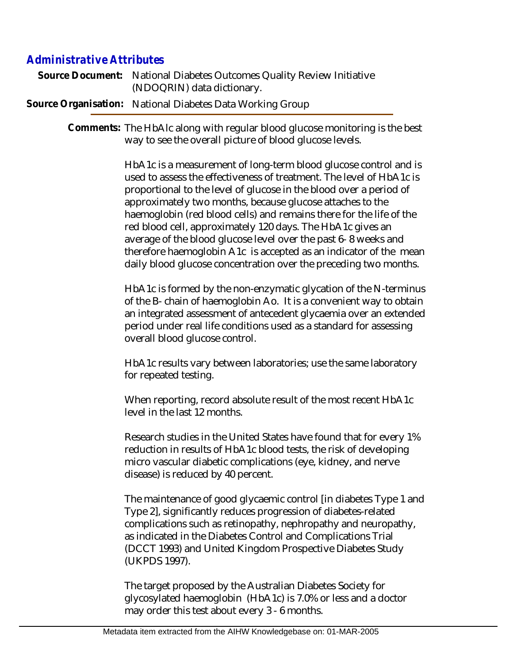## *Administrative Attributes*

| Source Document: National Diabetes Outcomes Quality Review Initiative |
|-----------------------------------------------------------------------|
| (NDOQRIN) data dictionary.                                            |
| Source Organisation: National Diabetes Data Working Group             |

Comments: The HbAlc along with regular blood glucose monitoring is the best way to see the overall picture of blood glucose levels.

> HbA1c is a measurement of long-term blood glucose control and is used to assess the effectiveness of treatment. The level of HbA1c is proportional to the level of glucose in the blood over a period of approximately two months, because glucose attaches to the haemoglobin (red blood cells) and remains there for the life of the red blood cell, approximately 120 days. The HbA1c gives an average of the blood glucose level over the past 6- 8 weeks and therefore haemoglobin A1c is accepted as an indicator of the mean daily blood glucose concentration over the preceding two months.

> HbA1c is formed by the non-enzymatic glycation of the N-terminus of the B- chain of haemoglobin Ao. It is a convenient way to obtain an integrated assessment of antecedent glycaemia over an extended period under real life conditions used as a standard for assessing overall blood glucose control.

HbA1c results vary between laboratories; use the same laboratory for repeated testing.

When reporting, record absolute result of the most recent HbA1c level in the last 12 months.

Research studies in the United States have found that for every 1% reduction in results of HbA1c blood tests, the risk of developing micro vascular diabetic complications (eye, kidney, and nerve disease) is reduced by 40 percent.

The maintenance of good glycaemic control [in diabetes Type 1 and Type 2], significantly reduces progression of diabetes-related complications such as retinopathy, nephropathy and neuropathy, as indicated in the Diabetes Control and Complications Trial (DCCT 1993) and United Kingdom Prospective Diabetes Study (UKPDS 1997).

The target proposed by the Australian Diabetes Society for glycosylated haemoglobin (HbA1c) is 7.0% or less and a doctor may order this test about every 3 - 6 months.